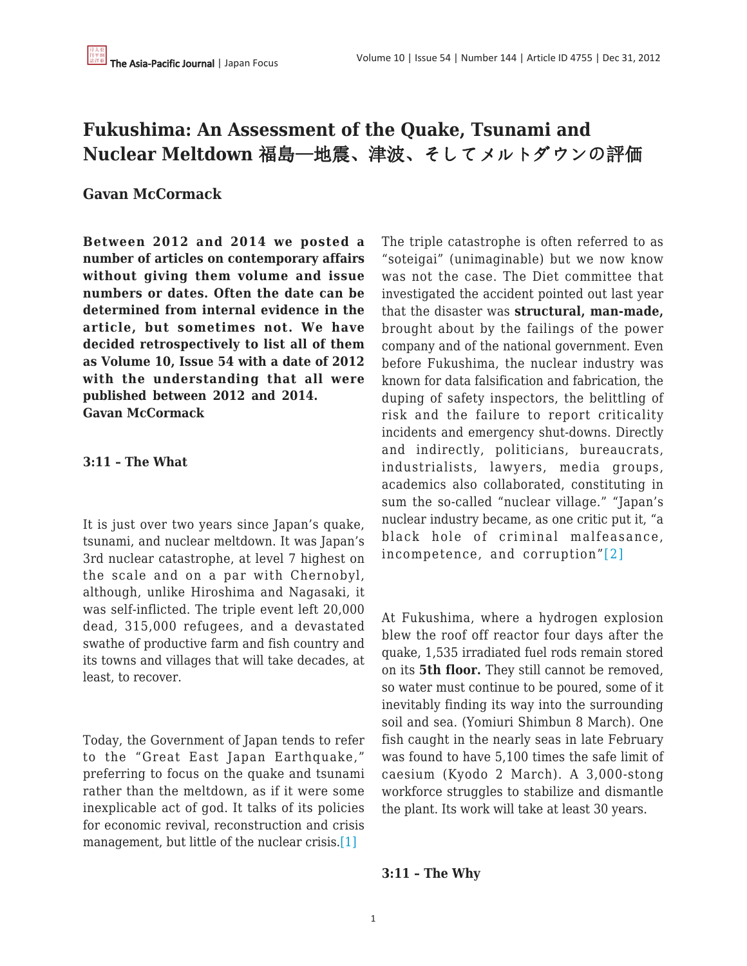# **Fukushima: An Assessment of the Quake, Tsunami and Nuclear Meltdown** 福島—地震、津波、そしてメルトダウンの評価

## **Gavan McCormack**

**Between 2012 and 2014 we posted a number of articles on contemporary affairs without giving them volume and issue numbers or dates. Often the date can be determined from internal evidence in the article, but sometimes not. We have decided retrospectively to list all of them as Volume 10, Issue 54 with a date of 2012 with the understanding that all were published between 2012 and 2014. Gavan McCormack**

### **3:11 – The What**

It is just over two years since Japan's quake, tsunami, and nuclear meltdown. It was Japan's 3rd nuclear catastrophe, at level 7 highest on the scale and on a par with Chernobyl, although, unlike Hiroshima and Nagasaki, it was self-inflicted. The triple event left 20,000 dead, 315,000 refugees, and a devastated swathe of productive farm and fish country and its towns and villages that will take decades, at least, to recover.

Today, the Government of Japan tends to refer to the "Great East Japan Earthquake," preferring to focus on the quake and tsunami rather than the meltdown, as if it were some inexplicable act of god. It talks of its policies for economic revival, reconstruction and crisis management, but little of the nuclear crisis.<sup>[\[1\]](file:///C:/Users/Adminb/Downloads/Fukushima%201.m%20(1).docx#_ftn1)</sup>

The triple catastrophe is often referred to as "soteigai" (unimaginable) but we now know was not the case. The Diet committee that investigated the accident pointed out last year that the disaster was **structural, man-made,** brought about by the failings of the power company and of the national government. Even before Fukushima, the nuclear industry was known for data falsification and fabrication, the duping of safety inspectors, the belittling of risk and the failure to report criticality incidents and emergency shut-downs. Directly and indirectly, politicians, bureaucrats, industrialists, lawyers, media groups, academics also collaborated, constituting in sum the so-called "nuclear village." "Japan's nuclear industry became, as one critic put it, "a black hole of criminal malfeasance, incompetence, and corruption"[\[2\]](file:///C:/Users/Adminb/Downloads/Fukushima%201.m%20(1).docx#_ftn2)

At Fukushima, where a hydrogen explosion blew the roof off reactor four days after the quake, 1,535 irradiated fuel rods remain stored on its **5th floor.** They still cannot be removed, so water must continue to be poured, some of it inevitably finding its way into the surrounding soil and sea. (Yomiuri Shimbun 8 March). One fish caught in the nearly seas in late February was found to have 5,100 times the safe limit of caesium (Kyodo 2 March). A 3,000-stong workforce struggles to stabilize and dismantle the plant. Its work will take at least 30 years.

#### **3:11 – The Why**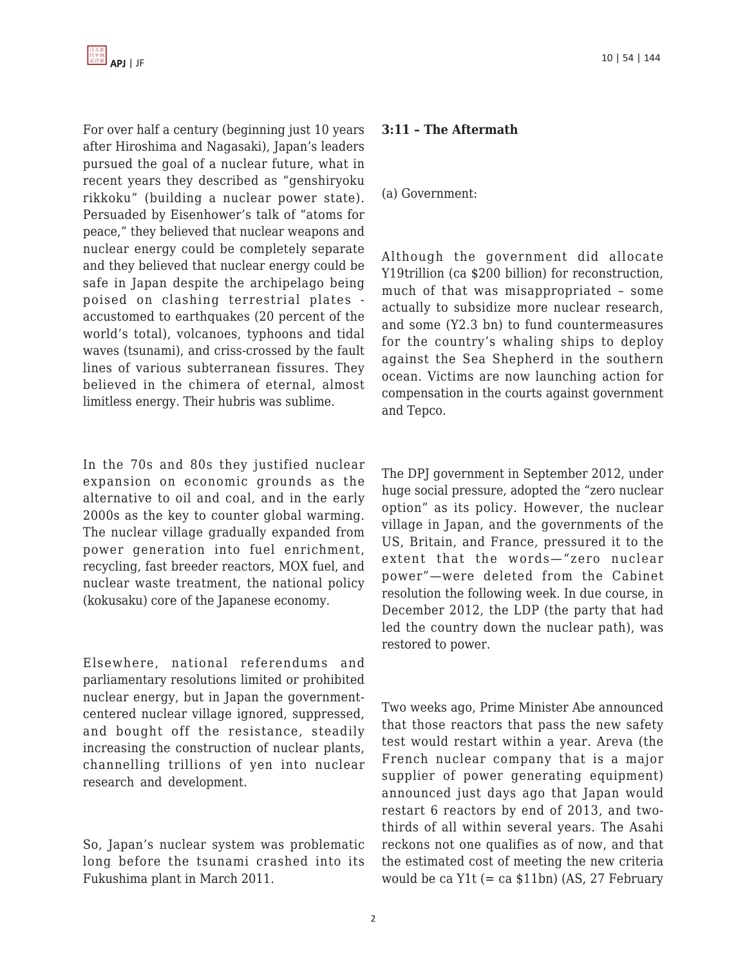For over half a century (beginning just 10 years after Hiroshima and Nagasaki), Japan's leaders pursued the goal of a nuclear future, what in recent years they described as "genshiryoku rikkoku" (building a nuclear power state). Persuaded by Eisenhower's talk of "atoms for peace," they believed that nuclear weapons and nuclear energy could be completely separate and they believed that nuclear energy could be safe in Japan despite the archipelago being poised on clashing terrestrial plates accustomed to earthquakes (20 percent of the world's total), volcanoes, typhoons and tidal waves (tsunami), and criss-crossed by the fault lines of various subterranean fissures. They believed in the chimera of eternal, almost limitless energy. Their hubris was sublime.

In the 70s and 80s they justified nuclear expansion on economic grounds as the alternative to oil and coal, and in the early 2000s as the key to counter global warming. The nuclear village gradually expanded from power generation into fuel enrichment, recycling, fast breeder reactors, MOX fuel, and nuclear waste treatment, the national policy (kokusaku) core of the Japanese economy.

Elsewhere, national referendums and parliamentary resolutions limited or prohibited nuclear energy, but in Japan the governmentcentered nuclear village ignored, suppressed, and bought off the resistance, steadily increasing the construction of nuclear plants, channelling trillions of yen into nuclear research and development.

So, Japan's nuclear system was problematic long before the tsunami crashed into its Fukushima plant in March 2011.

## **3:11 – The Aftermath**

#### (a) Government:

Although the government did allocate Y19trillion (ca \$200 billion) for reconstruction, much of that was misappropriated – some actually to subsidize more nuclear research, and some (Y2.3 bn) to fund countermeasures for the country's whaling ships to deploy against the Sea Shepherd in the southern ocean. Victims are now launching action for compensation in the courts against government and Tepco.

The DPJ government in September 2012, under huge social pressure, adopted the "zero nuclear option" as its policy. However, the nuclear village in Japan, and the governments of the US, Britain, and France, pressured it to the extent that the words—"zero nuclear power"—were deleted from the Cabinet resolution the following week. In due course, in December 2012, the LDP (the party that had led the country down the nuclear path), was restored to power.

Two weeks ago, Prime Minister Abe announced that those reactors that pass the new safety test would restart within a year. Areva (the French nuclear company that is a major supplier of power generating equipment) announced just days ago that Japan would restart 6 reactors by end of 2013, and twothirds of all within several years. The Asahi reckons not one qualifies as of now, and that the estimated cost of meeting the new criteria would be ca  $Y1t (= ca $11bn)$  (AS, 27 February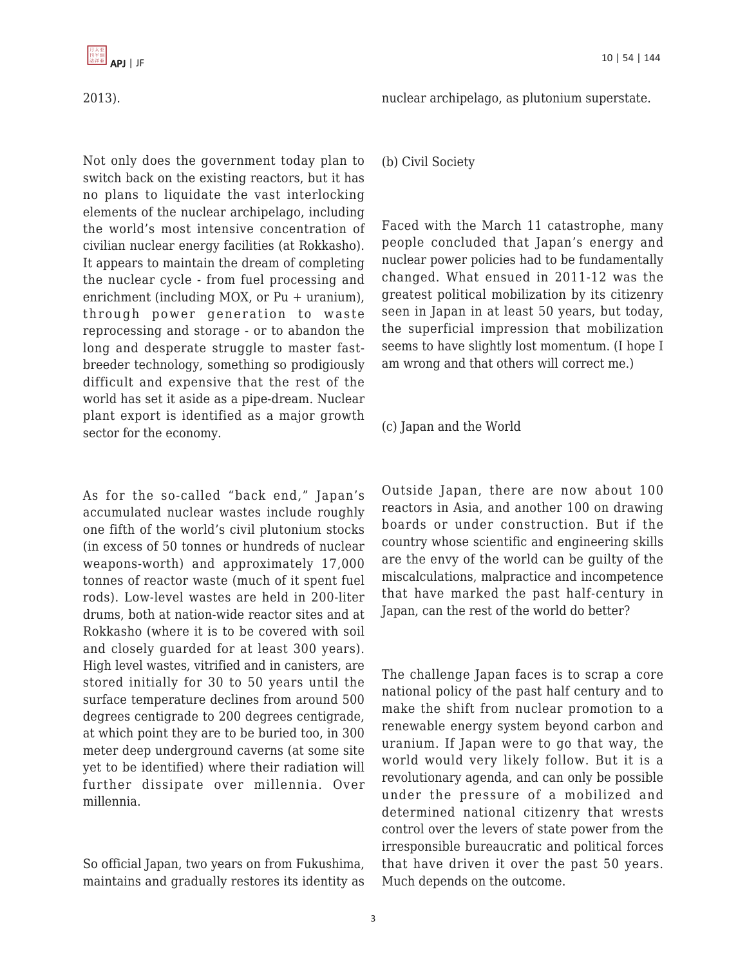

2013).

nuclear archipelago, as plutonium superstate.

Not only does the government today plan to switch back on the existing reactors, but it has no plans to liquidate the vast interlocking elements of the nuclear archipelago, including the world's most intensive concentration of civilian nuclear energy facilities (at Rokkasho). It appears to maintain the dream of completing the nuclear cycle - from fuel processing and enrichment (including MOX, or Pu + uranium), through power generation to waste reprocessing and storage - or to abandon the long and desperate struggle to master fastbreeder technology, something so prodigiously difficult and expensive that the rest of the world has set it aside as a pipe-dream. Nuclear plant export is identified as a major growth sector for the economy.

As for the so-called "back end," Japan's accumulated nuclear wastes include roughly one fifth of the world's civil plutonium stocks (in excess of 50 tonnes or hundreds of nuclear weapons-worth) and approximately 17,000 tonnes of reactor waste (much of it spent fuel rods). Low-level wastes are held in 200-liter drums, both at nation-wide reactor sites and at Rokkasho (where it is to be covered with soil and closely guarded for at least 300 years). High level wastes, vitrified and in canisters, are stored initially for 30 to 50 years until the surface temperature declines from around 500 degrees centigrade to 200 degrees centigrade, at which point they are to be buried too, in 300 meter deep underground caverns (at some site yet to be identified) where their radiation will further dissipate over millennia. Over millennia.

So official Japan, two years on from Fukushima, maintains and gradually restores its identity as (b) Civil Society

Faced with the March 11 catastrophe, many people concluded that Japan's energy and nuclear power policies had to be fundamentally changed. What ensued in 2011-12 was the greatest political mobilization by its citizenry seen in Japan in at least 50 years, but today, the superficial impression that mobilization seems to have slightly lost momentum. (I hope I am wrong and that others will correct me.)

(c) Japan and the World

Outside Japan, there are now about 100 reactors in Asia, and another 100 on drawing boards or under construction. But if the country whose scientific and engineering skills are the envy of the world can be guilty of the miscalculations, malpractice and incompetence that have marked the past half-century in Japan, can the rest of the world do better?

The challenge Japan faces is to scrap a core national policy of the past half century and to make the shift from nuclear promotion to a renewable energy system beyond carbon and uranium. If Japan were to go that way, the world would very likely follow. But it is a revolutionary agenda, and can only be possible under the pressure of a mobilized and determined national citizenry that wrests control over the levers of state power from the irresponsible bureaucratic and political forces that have driven it over the past 50 years. Much depends on the outcome.